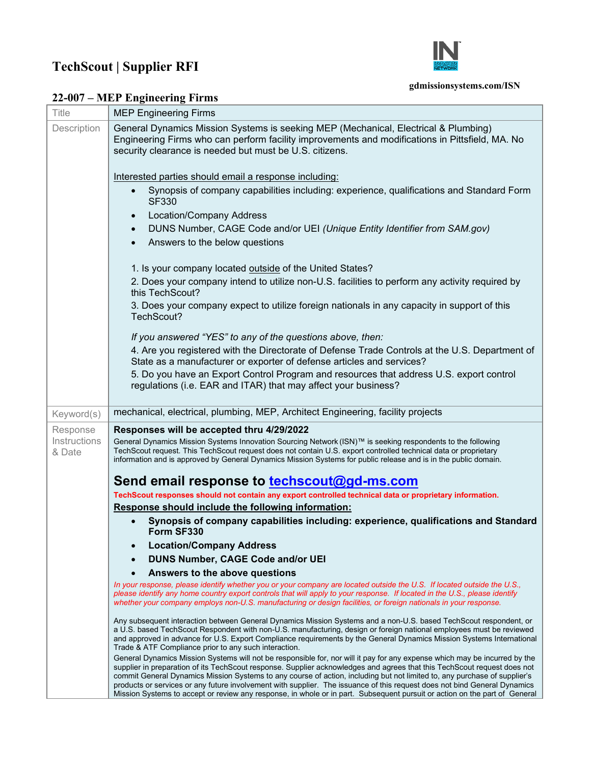## **TechScout | Supplier RFI**



## **gdmissionsystems.com/ISN**

## **22-007 – MEP Engineering Firms**

| Title                  | <b>MEP Engineering Firms</b>                                                                                                                                                                                                                                                                                                                                                                                                                                                                                                                                                                                                                   |
|------------------------|------------------------------------------------------------------------------------------------------------------------------------------------------------------------------------------------------------------------------------------------------------------------------------------------------------------------------------------------------------------------------------------------------------------------------------------------------------------------------------------------------------------------------------------------------------------------------------------------------------------------------------------------|
| Description            | General Dynamics Mission Systems is seeking MEP (Mechanical, Electrical & Plumbing)<br>Engineering Firms who can perform facility improvements and modifications in Pittsfield, MA. No<br>security clearance is needed but must be U.S. citizens.                                                                                                                                                                                                                                                                                                                                                                                              |
|                        | Interested parties should email a response including:                                                                                                                                                                                                                                                                                                                                                                                                                                                                                                                                                                                          |
|                        | Synopsis of company capabilities including: experience, qualifications and Standard Form<br><b>SF330</b>                                                                                                                                                                                                                                                                                                                                                                                                                                                                                                                                       |
|                        | <b>Location/Company Address</b>                                                                                                                                                                                                                                                                                                                                                                                                                                                                                                                                                                                                                |
|                        | DUNS Number, CAGE Code and/or UEI (Unique Entity Identifier from SAM.gov)<br>$\bullet$                                                                                                                                                                                                                                                                                                                                                                                                                                                                                                                                                         |
|                        | Answers to the below questions                                                                                                                                                                                                                                                                                                                                                                                                                                                                                                                                                                                                                 |
|                        | 1. Is your company located outside of the United States?                                                                                                                                                                                                                                                                                                                                                                                                                                                                                                                                                                                       |
|                        | 2. Does your company intend to utilize non-U.S. facilities to perform any activity required by<br>this TechScout?                                                                                                                                                                                                                                                                                                                                                                                                                                                                                                                              |
|                        | 3. Does your company expect to utilize foreign nationals in any capacity in support of this<br>TechScout?                                                                                                                                                                                                                                                                                                                                                                                                                                                                                                                                      |
|                        | If you answered "YES" to any of the questions above, then:                                                                                                                                                                                                                                                                                                                                                                                                                                                                                                                                                                                     |
|                        | 4. Are you registered with the Directorate of Defense Trade Controls at the U.S. Department of<br>State as a manufacturer or exporter of defense articles and services?                                                                                                                                                                                                                                                                                                                                                                                                                                                                        |
|                        | 5. Do you have an Export Control Program and resources that address U.S. export control                                                                                                                                                                                                                                                                                                                                                                                                                                                                                                                                                        |
|                        | regulations (i.e. EAR and ITAR) that may affect your business?                                                                                                                                                                                                                                                                                                                                                                                                                                                                                                                                                                                 |
| Keyword(s)             | mechanical, electrical, plumbing, MEP, Architect Engineering, facility projects                                                                                                                                                                                                                                                                                                                                                                                                                                                                                                                                                                |
| Response               | Responses will be accepted thru 4/29/2022                                                                                                                                                                                                                                                                                                                                                                                                                                                                                                                                                                                                      |
| Instructions<br>& Date | General Dynamics Mission Systems Innovation Sourcing Network (ISN)™ is seeking respondents to the following<br>TechScout request. This TechScout request does not contain U.S. export controlled technical data or proprietary<br>information and is approved by General Dynamics Mission Systems for public release and is in the public domain.                                                                                                                                                                                                                                                                                              |
|                        | Send email response to techscout@gd-ms.com                                                                                                                                                                                                                                                                                                                                                                                                                                                                                                                                                                                                     |
|                        | TechScout responses should not contain any export controlled technical data or proprietary information.                                                                                                                                                                                                                                                                                                                                                                                                                                                                                                                                        |
|                        | Response should include the following information:                                                                                                                                                                                                                                                                                                                                                                                                                                                                                                                                                                                             |
|                        | Synopsis of company capabilities including: experience, qualifications and Standard<br>Form SF330                                                                                                                                                                                                                                                                                                                                                                                                                                                                                                                                              |
|                        | <b>Location/Company Address</b>                                                                                                                                                                                                                                                                                                                                                                                                                                                                                                                                                                                                                |
|                        | <b>DUNS Number, CAGE Code and/or UEI</b>                                                                                                                                                                                                                                                                                                                                                                                                                                                                                                                                                                                                       |
|                        | Answers to the above questions                                                                                                                                                                                                                                                                                                                                                                                                                                                                                                                                                                                                                 |
|                        | In your response, please identify whether you or your company are located outside the U.S. If located outside the U.S.,<br>please identify any home country export controls that will apply to your response. If located in the U.S., please identify<br>whether your company employs non-U.S. manufacturing or design facilities, or foreign nationals in your response.                                                                                                                                                                                                                                                                      |
|                        | Any subsequent interaction between General Dynamics Mission Systems and a non-U.S. based TechScout respondent, or<br>a U.S. based TechScout Respondent with non-U.S. manufacturing, design or foreign national employees must be reviewed<br>and approved in advance for U.S. Export Compliance requirements by the General Dynamics Mission Systems International<br>Trade & ATF Compliance prior to any such interaction.                                                                                                                                                                                                                    |
|                        | General Dynamics Mission Systems will not be responsible for, nor will it pay for any expense which may be incurred by the<br>supplier in preparation of its TechScout response. Supplier acknowledges and agrees that this TechScout request does not<br>commit General Dynamics Mission Systems to any course of action, including but not limited to, any purchase of supplier's<br>products or services or any future involvement with supplier. The issuance of this request does not bind General Dynamics<br>Mission Systems to accept or review any response, in whole or in part. Subsequent pursuit or action on the part of General |